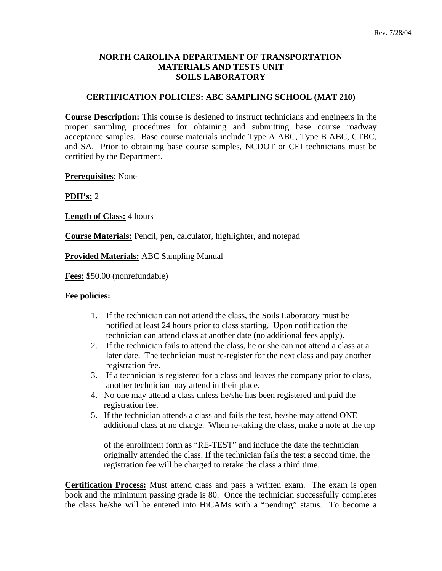## **NORTH CAROLINA DEPARTMENT OF TRANSPORTATION MATERIALS AND TESTS UNIT SOILS LABORATORY**

## **CERTIFICATION POLICIES: ABC SAMPLING SCHOOL (MAT 210)**

**Course Description:** This course is designed to instruct technicians and engineers in the proper sampling procedures for obtaining and submitting base course roadway acceptance samples. Base course materials include Type A ABC, Type B ABC, CTBC, and SA. Prior to obtaining base course samples, NCDOT or CEI technicians must be certified by the Department.

**Prerequisites**: None

**PDH's:** 2

**Length of Class:** 4 hours

**Course Materials:** Pencil, pen, calculator, highlighter, and notepad

**Provided Materials:** ABC Sampling Manual

**Fees:** \$50.00 (nonrefundable)

## **Fee policies:**

- 1. If the technician can not attend the class, the Soils Laboratory must be notified at least 24 hours prior to class starting. Upon notification the technician can attend class at another date (no additional fees apply).
- 2. If the technician fails to attend the class, he or she can not attend a class at a later date. The technician must re-register for the next class and pay another registration fee.
- 3. If a technician is registered for a class and leaves the company prior to class, another technician may attend in their place.
- 4. No one may attend a class unless he/she has been registered and paid the registration fee.
- 5. If the technician attends a class and fails the test, he/she may attend ONE additional class at no charge. When re-taking the class, make a note at the top

 of the enrollment form as "RE-TEST" and include the date the technician originally attended the class. If the technician fails the test a second time, the registration fee will be charged to retake the class a third time.

**Certification Process:** Must attend class and pass a written exam. The exam is open book and the minimum passing grade is 80. Once the technician successfully completes the class he/she will be entered into HiCAMs with a "pending" status. To become a